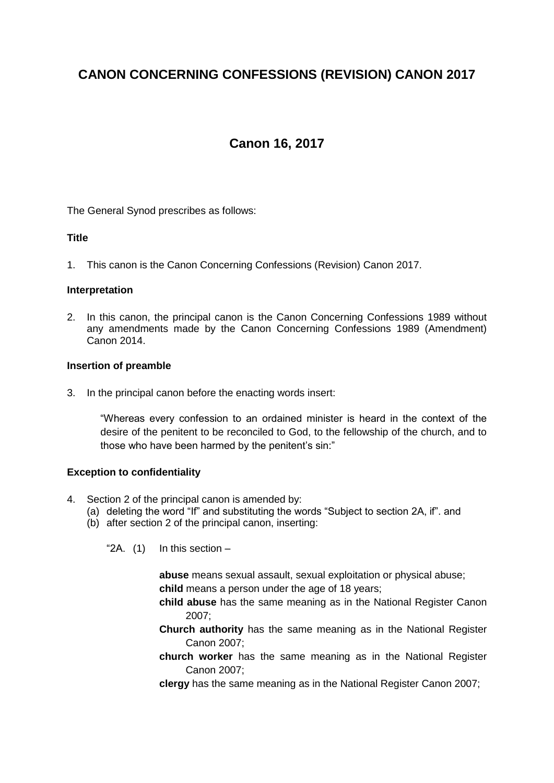# **CANON CONCERNING CONFESSIONS (REVISION) CANON 2017**

# **Canon 16, 2017**

The General Synod prescribes as follows:

# **Title**

1. This canon is the Canon Concerning Confessions (Revision) Canon 2017.

# **Interpretation**

2. In this canon, the principal canon is the Canon Concerning Confessions 1989 without any amendments made by the Canon Concerning Confessions 1989 (Amendment) Canon 2014.

#### **Insertion of preamble**

3. In the principal canon before the enacting words insert:

"Whereas every confession to an ordained minister is heard in the context of the desire of the penitent to be reconciled to God, to the fellowship of the church, and to those who have been harmed by the penitent's sin:"

# **Exception to confidentiality**

- 4. Section 2 of the principal canon is amended by:
	- (a) deleting the word "If" and substituting the words "Subject to section 2A, if". and
	- (b) after section 2 of the principal canon, inserting:

" $2A.$  (1) In this section –

**abuse** means sexual assault, sexual exploitation or physical abuse; **child** means a person under the age of 18 years;

- **child abuse** has the same meaning as in the National Register Canon 2007;
- **Church authority** has the same meaning as in the National Register Canon 2007;
- **church worker** has the same meaning as in the National Register Canon 2007;
- **clergy** has the same meaning as in the National Register Canon 2007;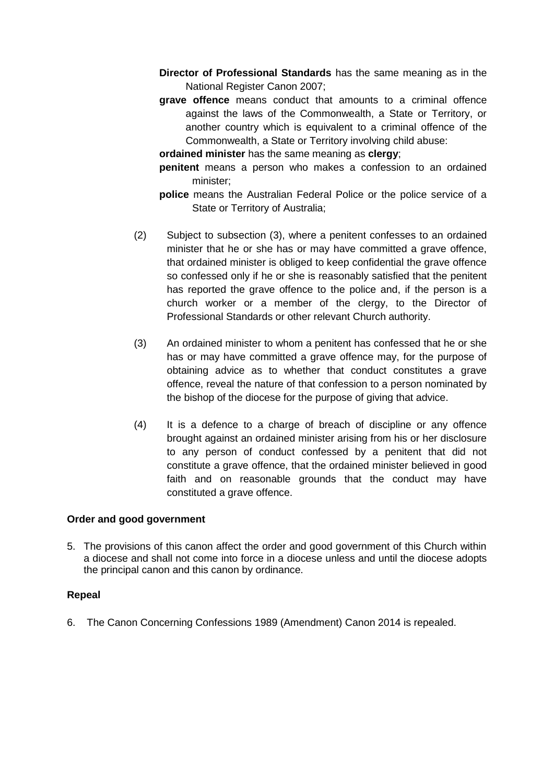- **Director of Professional Standards** has the same meaning as in the National Register Canon 2007;
- **grave offence** means conduct that amounts to a criminal offence against the laws of the Commonwealth, a State or Territory, or another country which is equivalent to a criminal offence of the Commonwealth, a State or Territory involving child abuse:

**ordained minister** has the same meaning as **clergy**;

- **penitent** means a person who makes a confession to an ordained minister;
- **police** means the Australian Federal Police or the police service of a State or Territory of Australia;
- (2) Subject to subsection (3), where a penitent confesses to an ordained minister that he or she has or may have committed a grave offence, that ordained minister is obliged to keep confidential the grave offence so confessed only if he or she is reasonably satisfied that the penitent has reported the grave offence to the police and, if the person is a church worker or a member of the clergy, to the Director of Professional Standards or other relevant Church authority.
- (3) An ordained minister to whom a penitent has confessed that he or she has or may have committed a grave offence may, for the purpose of obtaining advice as to whether that conduct constitutes a grave offence, reveal the nature of that confession to a person nominated by the bishop of the diocese for the purpose of giving that advice.
- (4) It is a defence to a charge of breach of discipline or any offence brought against an ordained minister arising from his or her disclosure to any person of conduct confessed by a penitent that did not constitute a grave offence, that the ordained minister believed in good faith and on reasonable grounds that the conduct may have constituted a grave offence.

# **Order and good government**

5. The provisions of this canon affect the order and good government of this Church within a diocese and shall not come into force in a diocese unless and until the diocese adopts the principal canon and this canon by ordinance.

# **Repeal**

6. The Canon Concerning Confessions 1989 (Amendment) Canon 2014 is repealed.